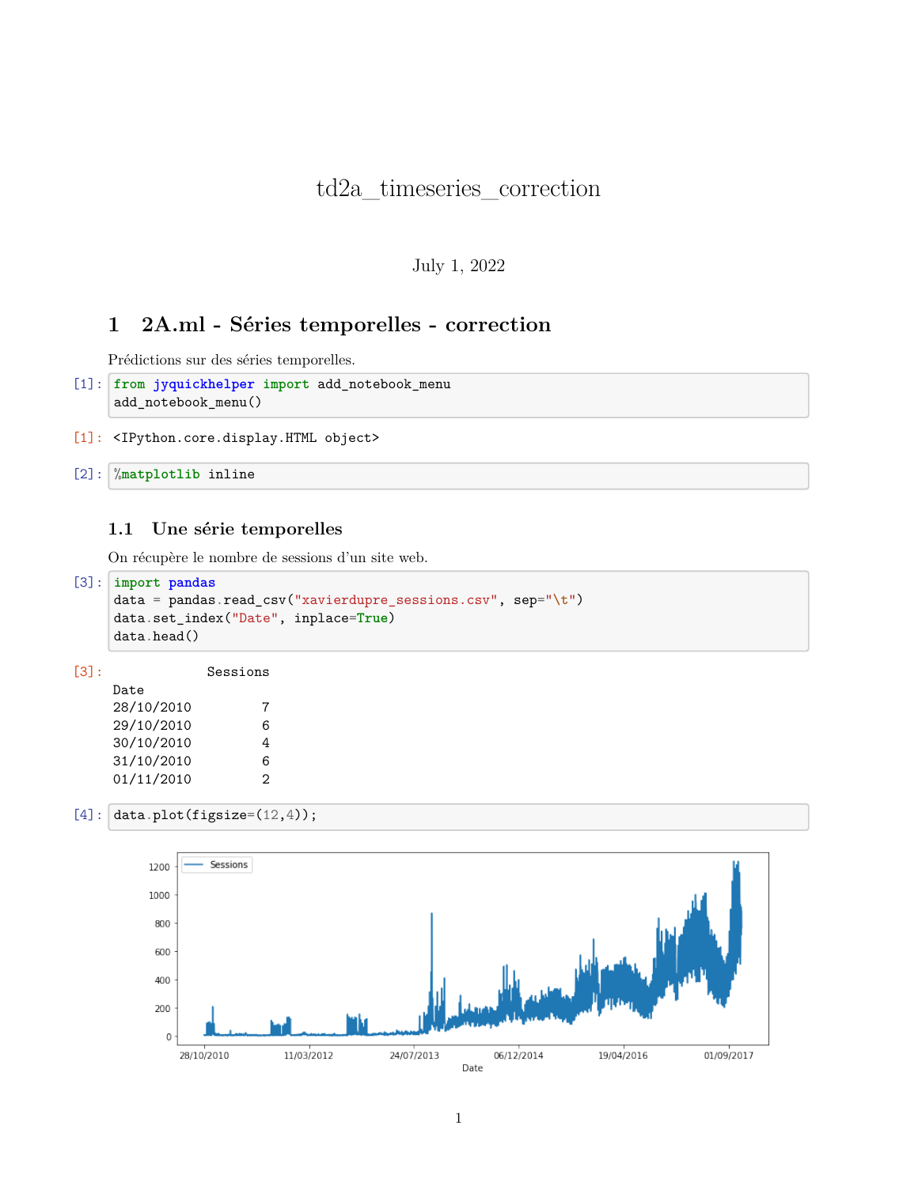# td2a\_timeseries\_correction

July 1, 2022

# **1 2A.ml - Séries temporelles - correction**

Prédictions sur des séries temporelles.

```
[1]: from jyquickhelper import add_notebook_menu
add_notebook_menu()
```
[1]: <IPython.core.display.HTML object>

[2]: %**matplotlib** inline

#### **1.1 Une série temporelles**

On récupère le nombre de sessions d'un site web.

```
[3]: import pandas
data = pandas.read_csv("xavierdupre_sessions.csv", sep="\t")
data.set_index("Date", inplace=True)
data.head()
```
[3]: Sessions Date 28/10/2010 7 29/10/2010 6 30/10/2010 4 31/10/2010 6 01/11/2010 2

[4]:  $data.plot(figsize=(12,4));$ 

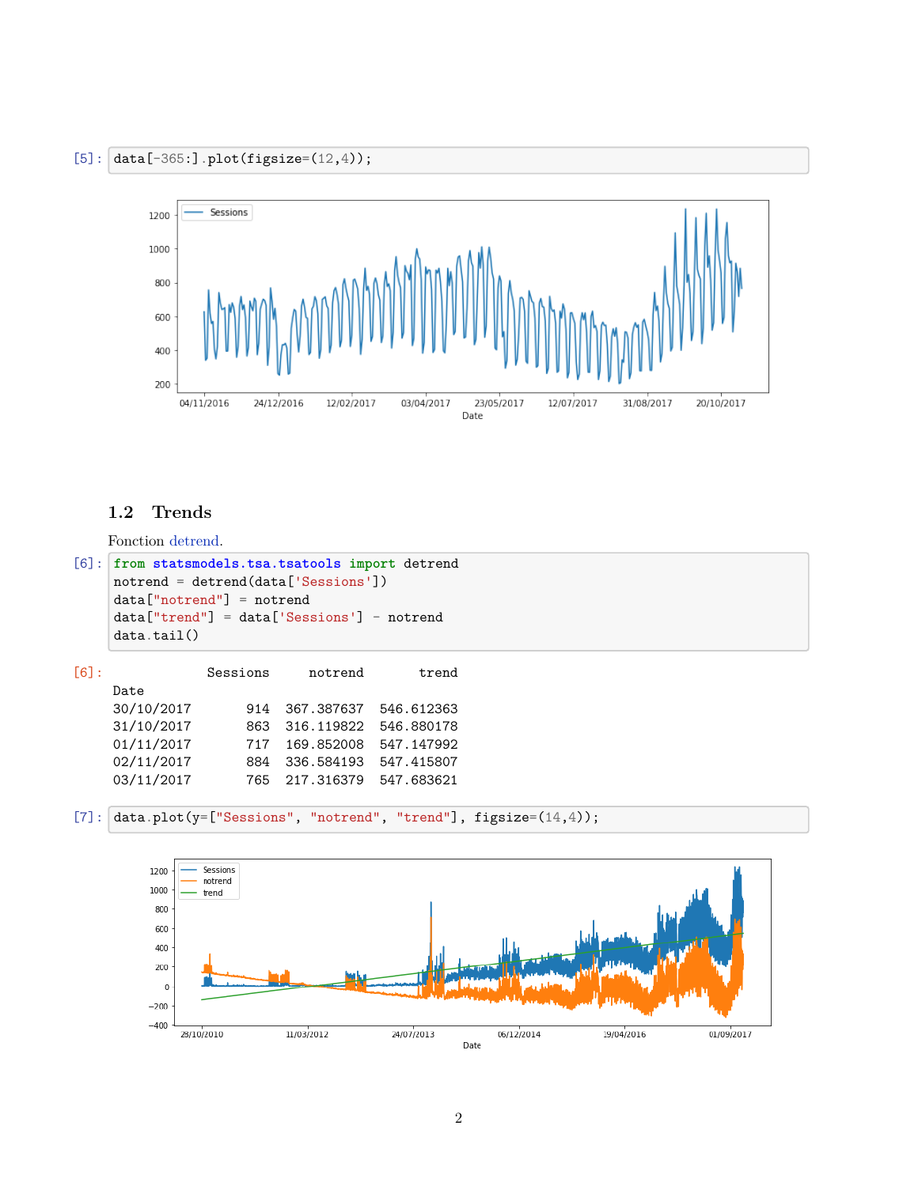

#### **1.2 Trends**

Fonction [detrend](http://www.statsmodels.org/dev/generated/statsmodels.tsa.tsatools.detrend.html#statsmodels.tsa.tsatools.detrend).

```
[6]: from statsmodels.tsa.tsatools import detrend
notrend = detrend(data['Sessions'])
data["notrend"] = notrend
data["trend"] = data['Sessions'] - notrend
data.tail()
```

| F61: |            | Sessions | notrend    | trend      |
|------|------------|----------|------------|------------|
|      | Date       |          |            |            |
|      | 30/10/2017 | 914      | 367.387637 | 546.612363 |
|      | 31/10/2017 | 863      | 316.119822 | 546.880178 |
|      | 01/11/2017 | 717      | 169.852008 | 547.147992 |
|      | 02/11/2017 | 884      | 336.584193 | 547.415807 |
|      | 03/11/2017 | 765      | 217.316379 | 547.683621 |
|      |            |          |            |            |



[7]:  $data.plot(y=["Sessions", "notrend", "trend"], figsize=(14,4));$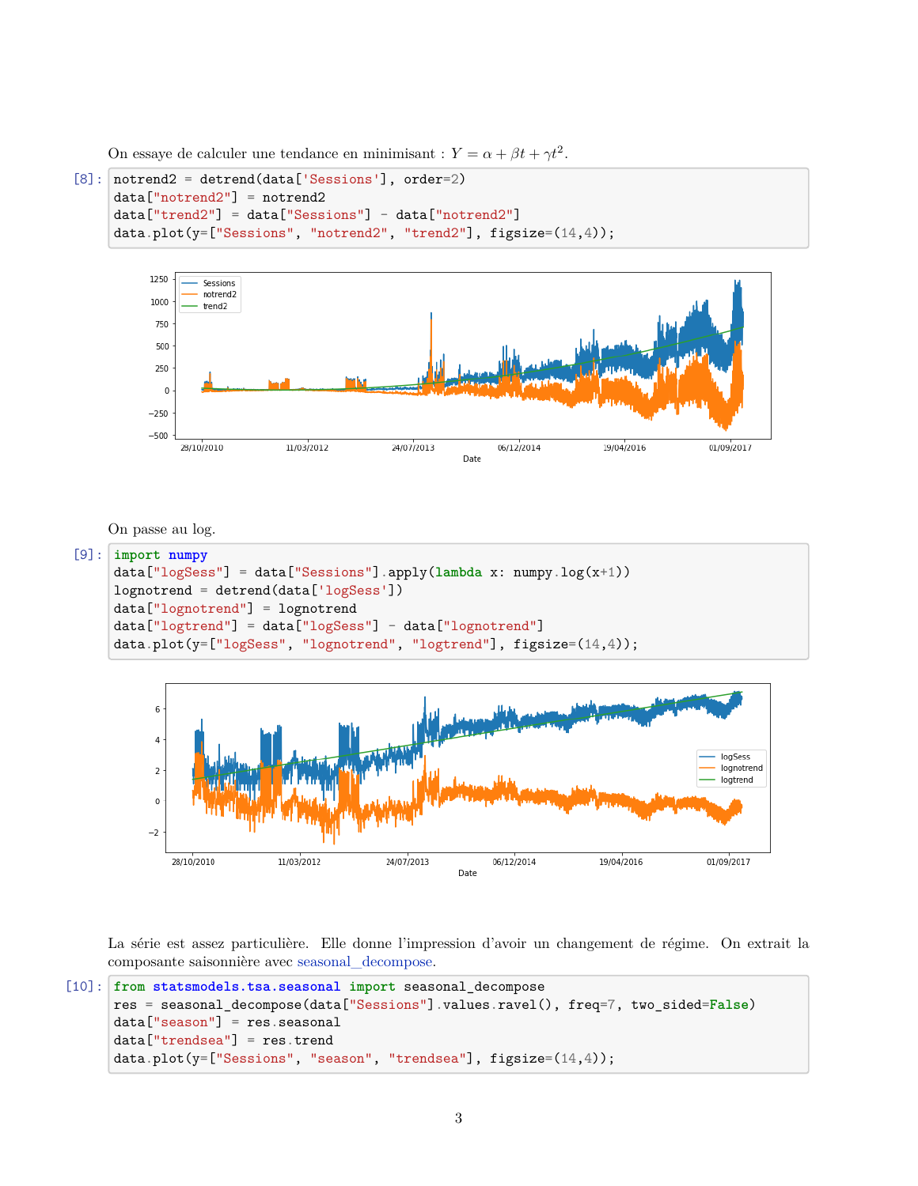On essaye de calculer une tendance en minimisant :  $Y = \alpha + \beta t + \gamma t^2$ .

```
[8]: notrend2 = detrend(data['Sessions'], order=2)
data["notrend2"] = notrend2
data["trend2"] = data["Sessions"] - data["notrend2"]
data.plot(y=["Sessions", "notrend2", "trend2"], figsize=(14,4));
```


On passe au log.

```
[9]: import numpy
data["logSess"] = data["Sessions"].apply(lambda x: numpy.log(x+1))
lognotrend = detrend(data['logSess'])
data["lognotrend"] = lognotrend
data["logtrend"] = data["logSess"] - data["lognotrend"]
data.plot(y=["logSess", "lognotrend", "logtrend"], figsize=(14,4));
```


La série est assez particulière. Elle donne l'impression d'avoir un changement de régime. On extrait la composante saisonnière avec [seasonal\\_decompose](http://www.statsmodels.org/dev/generated/statsmodels.tsa.seasonal.seasonal_decompose.html#statsmodels.tsa.seasonal.seasonal_decompose).

```
[10]: from statsmodels.tsa.seasonal import seasonal_decompose
 res = seasonal_decompose(data["Sessions"].values.ravel(), freq=7, two_sided=False)
 data["season"] = res.seasonal
 data["trendsea"] = res.trend
 data.plot(y=["Sessions", "season", "trendsea"], figsize=(14,4));
```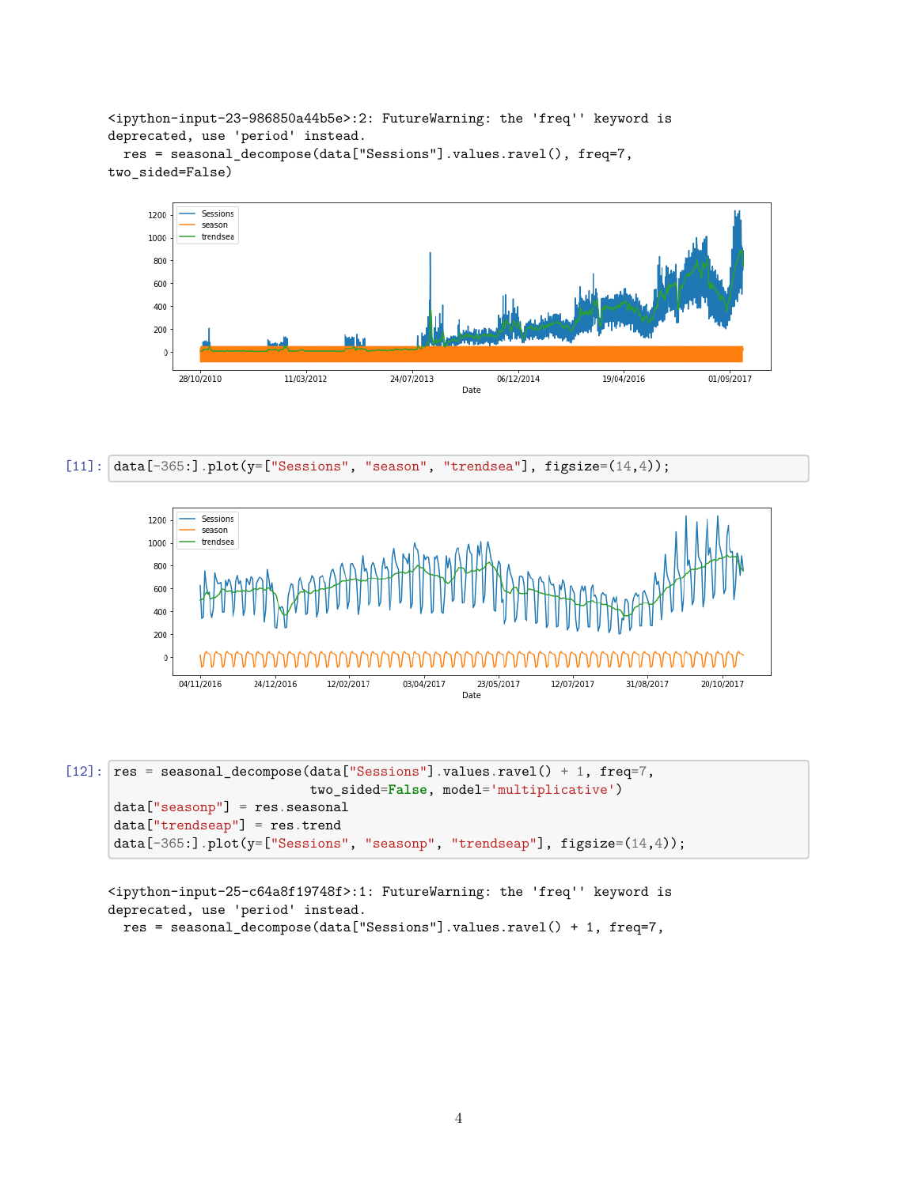<ipython-input-23-986850a44b5e>:2: FutureWarning: the 'freq'' keyword is deprecated, use 'period' instead.

res = seasonal\_decompose(data["Sessions"].values.ravel(), freq=7, two\_sided=False)







 $[12]$ :  $res = seasonal\_decompose(data['Sessions'']$ .values.ravel() + 1, freq=7, two\_sided=**False**, model='multiplicative') data["seasonp"] = res.seasonal data["trendseap"] = res.trend data[-365:].plot(y=["Sessions", "seasonp", "trendseap"], figsize=(14,4));

<ipython-input-25-c64a8f19748f>:1: FutureWarning: the 'freq'' keyword is deprecated, use 'period' instead. res = seasonal\_decompose(data["Sessions"].values.ravel() + 1, freq=7,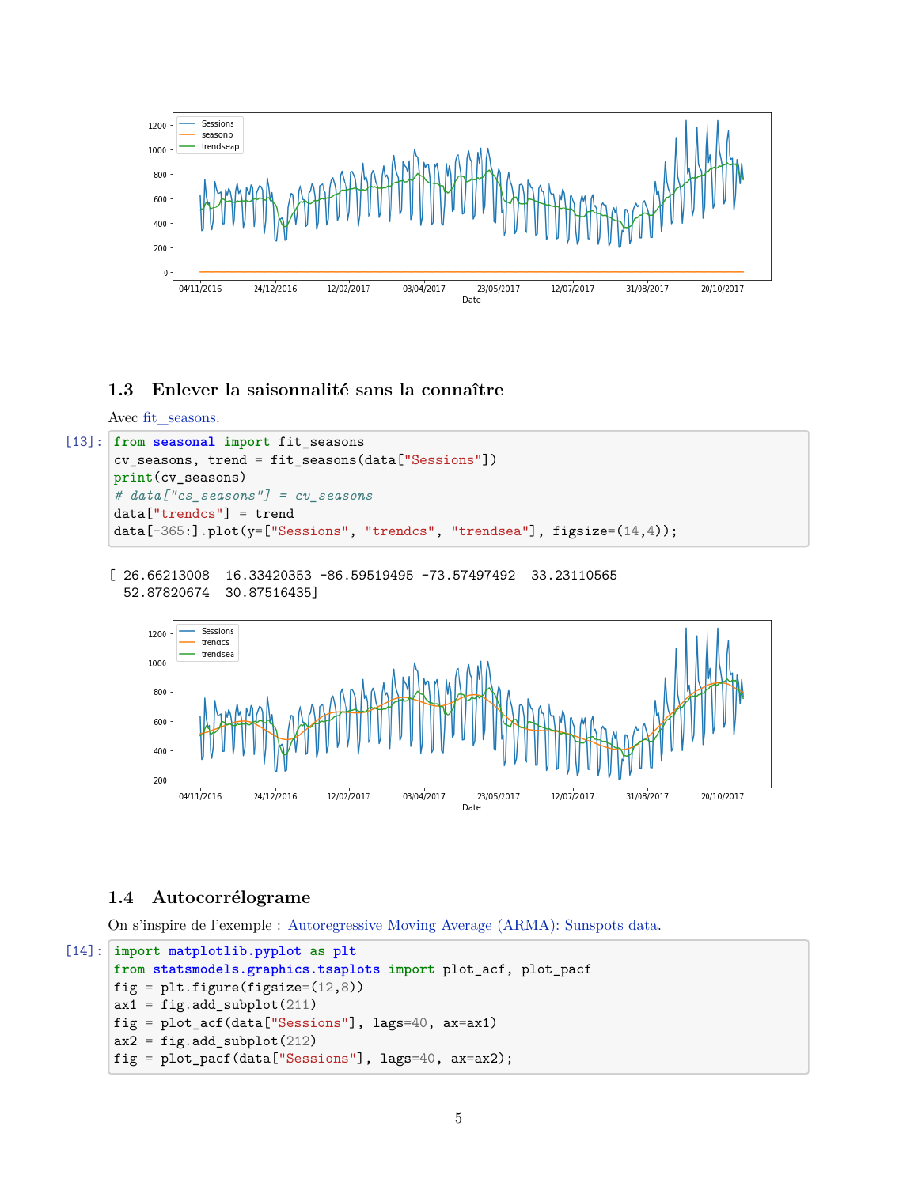

# **1.3 Enlever la saisonnalité sans la connaître**

```
Avec fit seasons.
```

```
[13]: from seasonal import fit_seasons
 cv_seasons, trend = fit_seasons(data["Sessions"])
 print(cv_seasons)
 # data["cs_seasons"] = cv_seasons
 data["trendcs"] = trend
 data[-365:].plot(y=["Sessions", "trendcs", "trendsea"], figsize=(14,4));
```
[ 26.66213008 16.33420353 -86.59519495 -73.57497492 33.23110565 52.87820674 30.87516435]



## **1.4 Autocorrélograme**

On s'inspire de l'exemple : [Autoregressive Moving Average \(ARMA\): Sunspots data.](http://www.statsmodels.org/dev/examples/notebooks/generated/tsa_arma_0.html)

```
[14]: import matplotlib.pyplot as plt
 from statsmodels.graphics.tsaplots import plot_acf, plot_pacf
 fig = plt.figure(figsize=(12,8))ax1 = fig.add\_subplot(211)fig = plot_acf(data["Sessions"], lags=40, ax=ax1)
 ax2 = fig.add\_subplot(212)fig = plot_pacf(data["Sessions"], lags=40, ax=ax2);
```